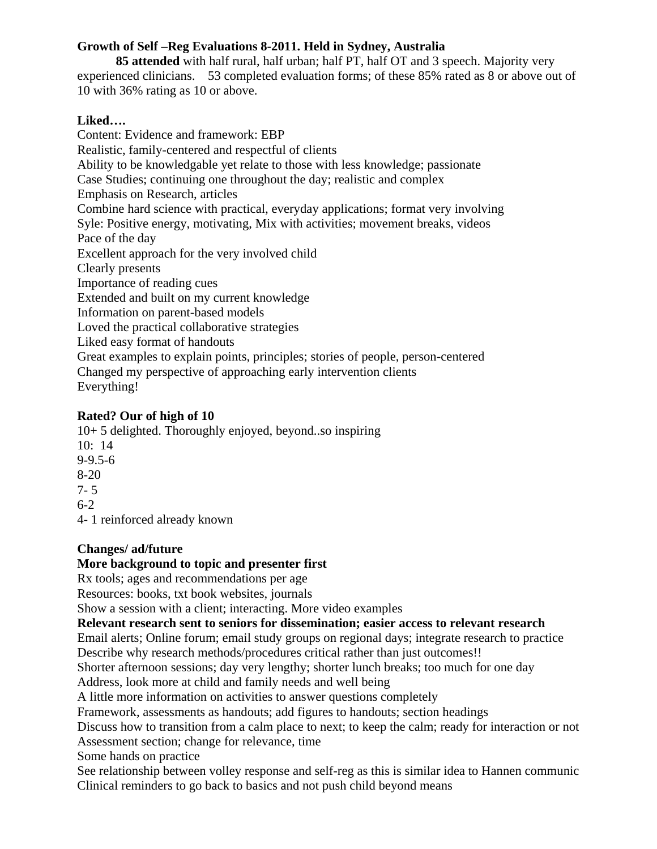# **Growth of Self –Reg Evaluations 8-2011. Held in Sydney, Australia**

 **85 attended** with half rural, half urban; half PT, half OT and 3 speech. Majority very experienced clinicians. 53 completed evaluation forms; of these 85% rated as 8 or above out of 10 with 36% rating as 10 or above.

#### **Liked….**

Content: Evidence and framework: EBP Realistic, family-centered and respectful of clients Ability to be knowledgable yet relate to those with less knowledge; passionate Case Studies; continuing one throughout the day; realistic and complex Emphasis on Research, articles Combine hard science with practical, everyday applications; format very involving Syle: Positive energy, motivating, Mix with activities; movement breaks, videos Pace of the day Excellent approach for the very involved child Clearly presents Importance of reading cues Extended and built on my current knowledge Information on parent-based models Loved the practical collaborative strategies Liked easy format of handouts Great examples to explain points, principles; stories of people, person-centered Changed my perspective of approaching early intervention clients Everything!

## **Rated? Our of high of 10**

10+ 5 delighted. Thoroughly enjoyed, beyond..so inspiring 10: 14 9-9.5-6 8-20 7- 5 6-2 4- 1 reinforced already known

## **Changes/ ad/future**

#### **More background to topic and presenter first**

Rx tools; ages and recommendations per age

Resources: books, txt book websites, journals

Show a session with a client; interacting. More video examples

## **Relevant research sent to seniors for dissemination; easier access to relevant research**

Email alerts; Online forum; email study groups on regional days; integrate research to practice Describe why research methods/procedures critical rather than just outcomes!!

Shorter afternoon sessions; day very lengthy; shorter lunch breaks; too much for one day

Address, look more at child and family needs and well being

A little more information on activities to answer questions completely

Framework, assessments as handouts; add figures to handouts; section headings

Discuss how to transition from a calm place to next; to keep the calm; ready for interaction or not Assessment section; change for relevance, time

Some hands on practice

See relationship between volley response and self-reg as this is similar idea to Hannen communic Clinical reminders to go back to basics and not push child beyond means